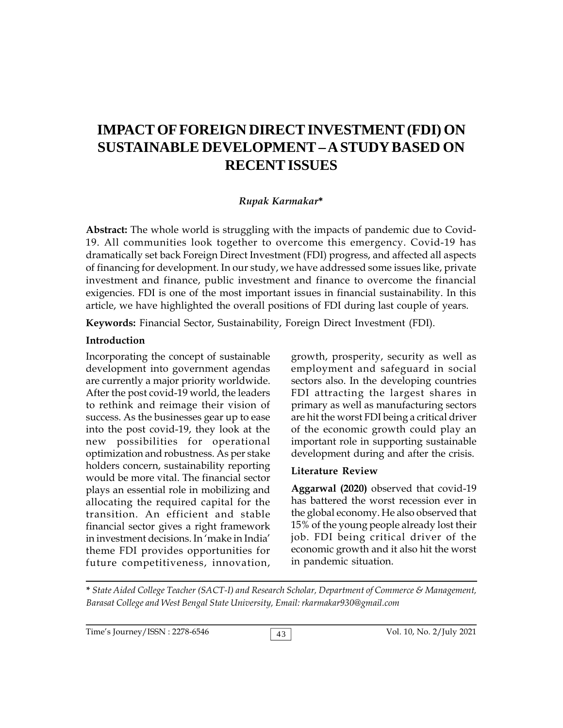# **IMPACT OF FOREIGN DIRECT INVESTMENT (FDI) ON SUSTAINABLE DEVELOPMENT – A STUDY BASED ON RECENT ISSUES**

#### *Rupak Karmakar***\***

**Abstract:** The whole world is struggling with the impacts of pandemic due to Covid-19. All communities look together to overcome this emergency. Covid-19 has dramatically set back Foreign Direct Investment (FDI) progress, and affected all aspects of financing for development. In our study, we have addressed some issues like, private investment and finance, public investment and finance to overcome the financial exigencies. FDI is one of the most important issues in financial sustainability. In this article, we have highlighted the overall positions of FDI during last couple of years.

**Keywords:** Financial Sector, Sustainability, Foreign Direct Investment (FDI).

#### **Introduction**

Incorporating the concept of sustainable development into government agendas are currently a major priority worldwide. After the post covid-19 world, the leaders to rethink and reimage their vision of success. As the businesses gear up to ease into the post covid-19, they look at the new possibilities for operational optimization and robustness. As per stake holders concern, sustainability reporting would be more vital. The financial sector plays an essential role in mobilizing and allocating the required capital for the transition. An efficient and stable financial sector gives a right framework in investment decisions. In 'make in India' theme FDI provides opportunities for future competitiveness, innovation,

growth, prosperity, security as well as employment and safeguard in social sectors also. In the developing countries FDI attracting the largest shares in primary as well as manufacturing sectors are hit the worst FDI being a critical driver of the economic growth could play an important role in supporting sustainable development during and after the crisis.

#### **Literature Review**

**Aggarwal (2020)** observed that covid-19 has battered the worst recession ever in the global economy. He also observed that 15% of the young people already lost their job. FDI being critical driver of the economic growth and it also hit the worst in pandemic situation.

**\*** *State Aided College Teacher (SACT-I) and Research Scholar, Department of Commerce & Management, Barasat College and West Bengal State University, Email: rkarmakar930@gmail.com*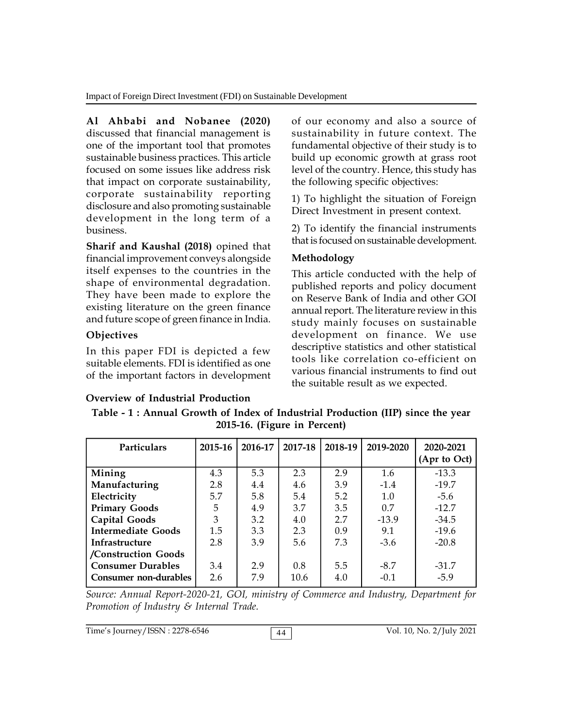**Al Ahbabi and Nobanee (2020)** discussed that financial management is one of the important tool that promotes sustainable business practices. This article focused on some issues like address risk that impact on corporate sustainability, corporate sustainability reporting disclosure and also promoting sustainable development in the long term of a business.

**Sharif and Kaushal (2018)** opined that financial improvement conveys alongside itself expenses to the countries in the shape of environmental degradation. They have been made to explore the existing literature on the green finance and future scope of green finance in India.

# **Objectives**

In this paper FDI is depicted a few suitable elements. FDI is identified as one of the important factors in development

# **Overview of Industrial Production**

of our economy and also a source of sustainability in future context. The fundamental objective of their study is to build up economic growth at grass root level of the country. Hence, this study has the following specific objectives:

1) To highlight the situation of Foreign Direct Investment in present context.

2) To identify the financial instruments that is focused on sustainable development.

# **Methodology**

This article conducted with the help of published reports and policy document on Reserve Bank of India and other GOI annual report. The literature review in this study mainly focuses on sustainable development on finance. We use descriptive statistics and other statistical tools like correlation co-efficient on various financial instruments to find out the suitable result as we expected.

| Table - 1 : Annual Growth of Index of Industrial Production (IIP) since the year |  |
|----------------------------------------------------------------------------------|--|
| 2015-16. (Figure in Percent)                                                     |  |

| <b>Particulars</b>        | 2015-16 | 2016-17 | 2017-18 | 2018-19 | 2019-2020 | 2020-2021<br>(Apr to Oct) |
|---------------------------|---------|---------|---------|---------|-----------|---------------------------|
| Mining                    | 4.3     | 5.3     | 2.3     | 2.9     | 1.6       | $-13.3$                   |
| Manufacturing             | 2.8     | 4.4     | 4.6     | 3.9     | $-1.4$    | $-19.7$                   |
| Electricity               | 5.7     | 5.8     | 5.4     | 5.2     | 1.0       | $-5.6$                    |
| <b>Primary Goods</b>      | 5       | 4.9     | 3.7     | 3.5     | 0.7       | $-12.7$                   |
| Capital Goods             | 3       | 3.2     | 4.0     | 2.7     | $-13.9$   | $-34.5$                   |
| <b>Intermediate Goods</b> | 1.5     | 3.3     | 2.3     | 0.9     | 9.1       | $-19.6$                   |
| Infrastructure            | 2.8     | 3.9     | 5.6     | 7.3     | $-3.6$    | $-20.8$                   |
| /Construction Goods       |         |         |         |         |           |                           |
| <b>Consumer Durables</b>  | 3.4     | 2.9     | 0.8     | 5.5     | $-8.7$    | $-31.7$                   |
| Consumer non-durables     | 2.6     | 7.9     | 10.6    | 4.0     | $-0.1$    | $-5.9$                    |

*Source: Annual Report-2020-21, GOI, ministry of Commerce and Industry, Department for Promotion of Industry & Internal Trade.*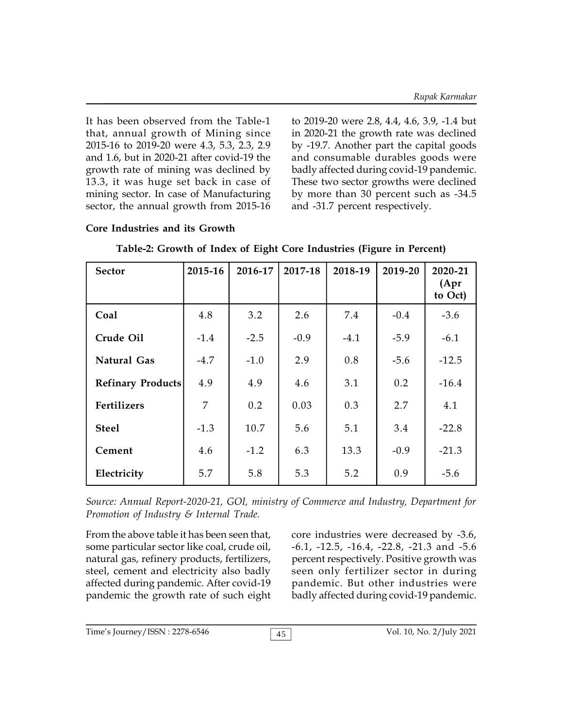It has been observed from the Table-1 that, annual growth of Mining since 2015-16 to 2019-20 were 4.3, 5.3, 2.3, 2.9 and 1.6, but in 2020-21 after covid-19 the growth rate of mining was declined by 13.3, it was huge set back in case of mining sector. In case of Manufacturing sector, the annual growth from 2015-16

**Core Industries and its Growth**

to 2019-20 were 2.8, 4.4, 4.6, 3.9, -1.4 but in 2020-21 the growth rate was declined by -19.7. Another part the capital goods and consumable durables goods were badly affected during covid-19 pandemic. These two sector growths were declined by more than 30 percent such as -34.5 and -31.7 percent respectively.

# **Sector 2015-16 2016-17 2017-18 2018-19 2019-20 2020-21 (Apr to Oct) Coal** 4.8 3.2 2.6 7.4 -0.4 -3.6 **Crude Oil** -1.4 -2.5 -0.9 -4.1 -5.9 -6.1 **Natural Gas**  $\begin{array}{|c|c|c|c|c|c|} \hline -4.7 & -1.0 & 2.9 & 0.8 & -5.6 & -12.5 \ \hline \end{array}$ **Refinary Products** 4.9 4.9 4.6 3.1 0.2 -16.4 **Fertilizers** | 7 | 0.2 | 0.03 | 0.3 | 2.7 | 4.1 | **Steel** -1.3 10.7 5.6 5.1 3.4 -22.8 **Cement** 4.6 -1.2 6.3 13.3 -0.9 -21.3 **Electricity**  $\begin{array}{|c|c|c|c|c|c|} \hline 5.7 & 5.8 & 5.3 & 5.2 & 0.9 & -5.6 \ \hline \end{array}$

|  |  | Table-2: Growth of Index of Eight Core Industries (Figure in Percent) |  |
|--|--|-----------------------------------------------------------------------|--|
|  |  |                                                                       |  |

*Source: Annual Report-2020-21, GOI, ministry of Commerce and Industry, Department for Promotion of Industry & Internal Trade.*

From the above table it has been seen that, some particular sector like coal, crude oil, natural gas, refinery products, fertilizers, steel, cement and electricity also badly affected during pandemic. After covid-19 pandemic the growth rate of such eight core industries were decreased by -3.6, -6.1, -12.5, -16.4, -22.8, -21.3 and -5.6 percent respectively. Positive growth was seen only fertilizer sector in during pandemic. But other industries were badly affected during covid-19 pandemic.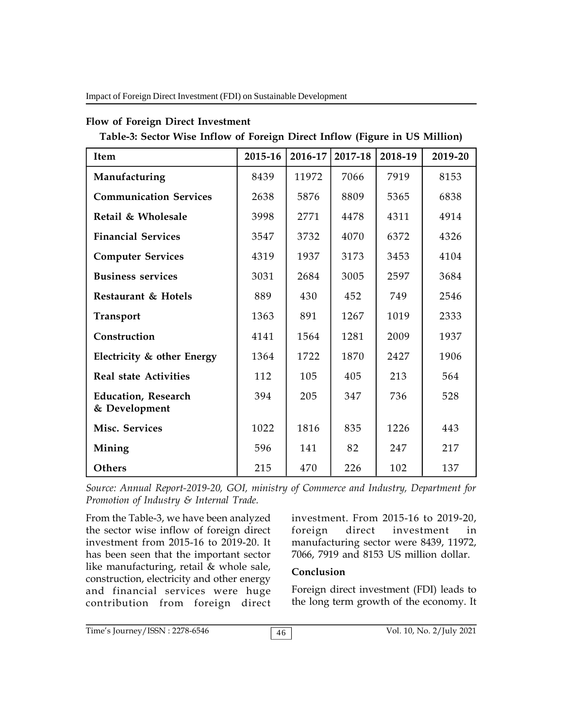Impact of Foreign Direct Investment (FDI) on Sustainable Development

### **Flow of Foreign Direct Investment**

**Table-3: Sector Wise Inflow of Foreign Direct Inflow (Figure in US Million)**

| Item                                        | 2015-16 | 2016-17 | 2017-18 | 2018-19 | 2019-20 |
|---------------------------------------------|---------|---------|---------|---------|---------|
| Manufacturing                               | 8439    | 11972   | 7066    | 7919    | 8153    |
| <b>Communication Services</b>               | 2638    | 5876    | 8809    | 5365    | 6838    |
| Retail & Wholesale                          | 3998    | 2771    | 4478    | 4311    | 4914    |
| <b>Financial Services</b>                   | 3547    | 3732    | 4070    | 6372    | 4326    |
| <b>Computer Services</b>                    | 4319    | 1937    | 3173    | 3453    | 4104    |
| <b>Business services</b>                    | 3031    | 2684    | 3005    | 2597    | 3684    |
| Restaurant & Hotels                         | 889     | 430     | 452     | 749     | 2546    |
| <b>Transport</b>                            | 1363    | 891     | 1267    | 1019    | 2333    |
| Construction                                | 4141    | 1564    | 1281    | 2009    | 1937    |
| Electricity & other Energy                  | 1364    | 1722    | 1870    | 2427    | 1906    |
| <b>Real state Activities</b>                | 112     | 105     | 405     | 213     | 564     |
| <b>Education, Research</b><br>& Development | 394     | 205     | 347     | 736     | 528     |
| Misc. Services                              | 1022    | 1816    | 835     | 1226    | 443     |
| Mining                                      | 596     | 141     | 82      | 247     | 217     |
| Others                                      | 215     | 470     | 226     | 102     | 137     |

*Source: Annual Report-2019-20, GOI, ministry of Commerce and Industry, Department for Promotion of Industry & Internal Trade.*

From the Table-3, we have been analyzed the sector wise inflow of foreign direct investment from 2015-16 to 2019-20. It has been seen that the important sector like manufacturing, retail & whole sale, construction, electricity and other energy and financial services were huge contribution from foreign direct

investment. From 2015-16 to 2019-20, direct investment in manufacturing sector were 8439, 11972, 7066, 7919 and 8153 US million dollar.

# **Conclusion**

Foreign direct investment (FDI) leads to the long term growth of the economy. It